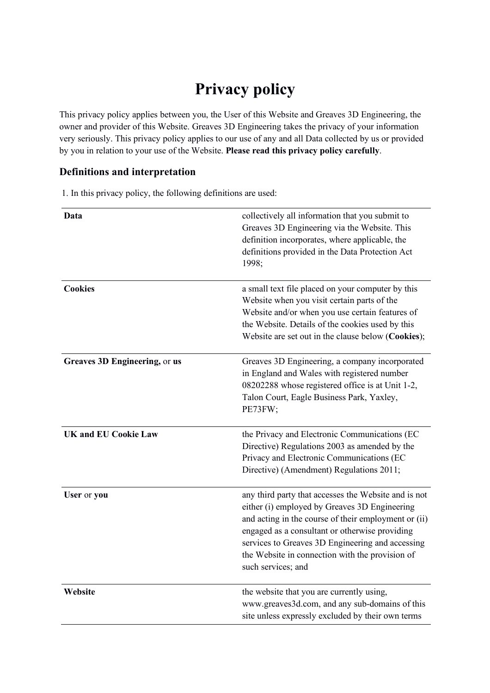# **Privacy policy**

This privacy policy applies between you, the User of this Website and Greaves 3D Engineering, the owner and provider of this Website. Greaves 3D Engineering takes the privacy of your information very seriously. This privacy policy applies to our use of any and all Data collected by us or provided by you in relation to your use of the Website. **Please read this privacy policy carefully**.

## **Definitions and interpretation**

1. In this privacy policy, the following definitions are used:

| Data                          | collectively all information that you submit to<br>Greaves 3D Engineering via the Website. This<br>definition incorporates, where applicable, the<br>definitions provided in the Data Protection Act<br>1998;                                                                                                                                |
|-------------------------------|----------------------------------------------------------------------------------------------------------------------------------------------------------------------------------------------------------------------------------------------------------------------------------------------------------------------------------------------|
| <b>Cookies</b>                | a small text file placed on your computer by this<br>Website when you visit certain parts of the<br>Website and/or when you use certain features of<br>the Website. Details of the cookies used by this<br>Website are set out in the clause below (Cookies);                                                                                |
| Greaves 3D Engineering, or us | Greaves 3D Engineering, a company incorporated<br>in England and Wales with registered number<br>08202288 whose registered office is at Unit 1-2,<br>Talon Court, Eagle Business Park, Yaxley,<br>PE73FW;                                                                                                                                    |
| <b>UK and EU Cookie Law</b>   | the Privacy and Electronic Communications (EC<br>Directive) Regulations 2003 as amended by the<br>Privacy and Electronic Communications (EC<br>Directive) (Amendment) Regulations 2011;                                                                                                                                                      |
| User or you                   | any third party that accesses the Website and is not<br>either (i) employed by Greaves 3D Engineering<br>and acting in the course of their employment or (ii)<br>engaged as a consultant or otherwise providing<br>services to Greaves 3D Engineering and accessing<br>the Website in connection with the provision of<br>such services; and |
| Website                       | the website that you are currently using,<br>www.greaves3d.com, and any sub-domains of this<br>site unless expressly excluded by their own terms                                                                                                                                                                                             |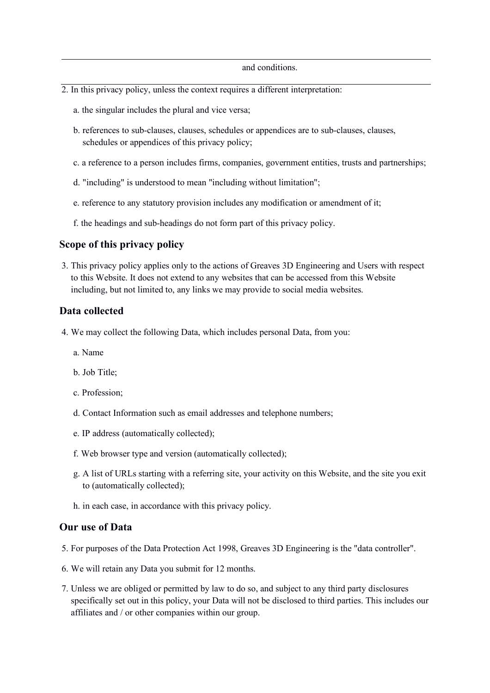#### and conditions.

- 2. In this privacy policy, unless the context requires a different interpretation:
	- a. the singular includes the plural and vice versa;
	- b. references to sub-clauses, clauses, schedules or appendices are to sub-clauses, clauses, schedules or appendices of this privacy policy;
	- c. a reference to a person includes firms, companies, government entities, trusts and partnerships;
	- d. "including" is understood to mean "including without limitation";
	- e. reference to any statutory provision includes any modification or amendment of it;
	- f. the headings and sub-headings do not form part of this privacy policy.

#### **Scope of this privacy policy**

3. This privacy policy applies only to the actions of Greaves 3D Engineering and Users with respect to this Website. It does not extend to any websites that can be accessed from this Website including, but not limited to, any links we may provide to social media websites.

#### **Data collected**

- 4. We may collect the following Data, which includes personal Data, from you:
	- a. Name
	- b. Job Title;
	- c. Profession;
	- d. Contact Information such as email addresses and telephone numbers;
	- e. IP address (automatically collected);
	- f. Web browser type and version (automatically collected);
	- g. A list of URLs starting with a referring site, your activity on this Website, and the site you exit to (automatically collected);
	- h. in each case, in accordance with this privacy policy.

#### **Our use of Data**

- 5. For purposes of the Data Protection Act 1998, Greaves 3D Engineering is the "data controller".
- 6. We will retain any Data you submit for 12 months.
- 7. Unless we are obliged or permitted by law to do so, and subject to any third party disclosures specifically set out in this policy, your Data will not be disclosed to third parties. This includes our affiliates and / or other companies within our group.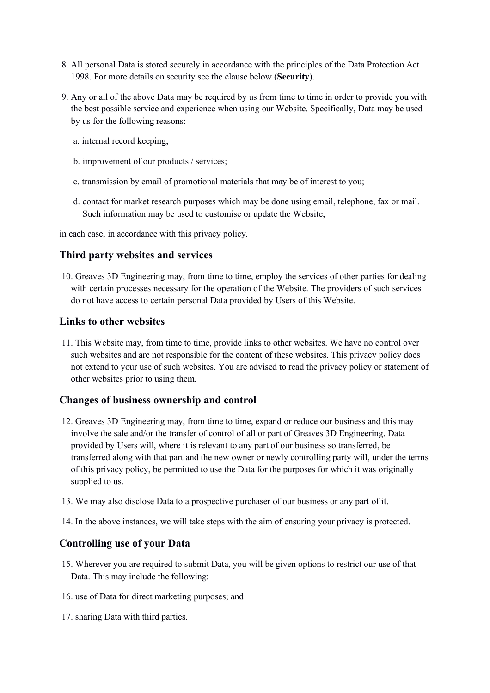- 8. All personal Data is stored securely in accordance with the principles of the Data Protection Act 1998. For more details on security see the clause below (**Security**).
- 9. Any or all of the above Data may be required by us from time to time in order to provide you with the best possible service and experience when using our Website. Specifically, Data may be used by us for the following reasons:
	- a. internal record keeping;
	- b. improvement of our products / services;
	- c. transmission by email of promotional materials that may be of interest to you;
	- d. contact for market research purposes which may be done using email, telephone, fax or mail. Such information may be used to customise or update the Website;

in each case, in accordance with this privacy policy.

### **Third party websites and services**

10. Greaves 3D Engineering may, from time to time, employ the services of other parties for dealing with certain processes necessary for the operation of the Website. The providers of such services do not have access to certain personal Data provided by Users of this Website.

#### **Links to other websites**

11. This Website may, from time to time, provide links to other websites. We have no control over such websites and are not responsible for the content of these websites. This privacy policy does not extend to your use of such websites. You are advised to read the privacy policy or statement of other websites prior to using them.

#### **Changes of business ownership and control**

- 12. Greaves 3D Engineering may, from time to time, expand or reduce our business and this may involve the sale and/or the transfer of control of all or part of Greaves 3D Engineering. Data provided by Users will, where it is relevant to any part of our business so transferred, be transferred along with that part and the new owner or newly controlling party will, under the terms of this privacy policy, be permitted to use the Data for the purposes for which it was originally supplied to us.
- 13. We may also disclose Data to a prospective purchaser of our business or any part of it.
- 14. In the above instances, we will take steps with the aim of ensuring your privacy is protected.

## **Controlling use of your Data**

- 15. Wherever you are required to submit Data, you will be given options to restrict our use of that Data. This may include the following:
- 16. use of Data for direct marketing purposes; and
- 17. sharing Data with third parties.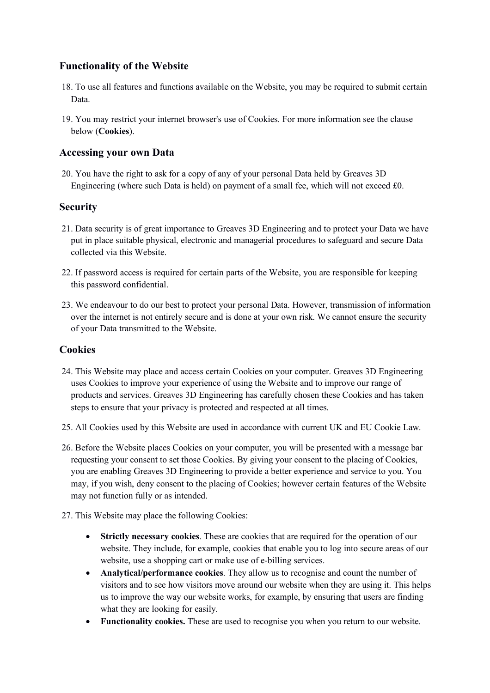## **Functionality of the Website**

- 18. To use all features and functions available on the Website, you may be required to submit certain Data.
- 19. You may restrict your internet browser's use of Cookies. For more information see the clause below (**Cookies**).

## **Accessing your own Data**

20. You have the right to ask for a copy of any of your personal Data held by Greaves 3D Engineering (where such Data is held) on payment of a small fee, which will not exceed £0.

## **Security**

- 21. Data security is of great importance to Greaves 3D Engineering and to protect your Data we have put in place suitable physical, electronic and managerial procedures to safeguard and secure Data collected via this Website.
- 22. If password access is required for certain parts of the Website, you are responsible for keeping this password confidential.
- 23. We endeavour to do our best to protect your personal Data. However, transmission of information over the internet is not entirely secure and is done at your own risk. We cannot ensure the security of your Data transmitted to the Website.

## **Cookies**

- 24. This Website may place and access certain Cookies on your computer. Greaves 3D Engineering uses Cookies to improve your experience of using the Website and to improve our range of products and services. Greaves 3D Engineering has carefully chosen these Cookies and has taken steps to ensure that your privacy is protected and respected at all times.
- 25. All Cookies used by this Website are used in accordance with current UK and EU Cookie Law.
- 26. Before the Website places Cookies on your computer, you will be presented with a message bar requesting your consent to set those Cookies. By giving your consent to the placing of Cookies, you are enabling Greaves 3D Engineering to provide a better experience and service to you. You may, if you wish, deny consent to the placing of Cookies; however certain features of the Website may not function fully or as intended.
- 27. This Website may place the following Cookies:
	- **Strictly necessary cookies**. These are cookies that are required for the operation of our website. They include, for example, cookies that enable you to log into secure areas of our website, use a shopping cart or make use of e-billing services.
	- **Analytical/performance cookies**. They allow us to recognise and count the number of visitors and to see how visitors move around our website when they are using it. This helps us to improve the way our website works, for example, by ensuring that users are finding what they are looking for easily.
	- **Functionality cookies.** These are used to recognise you when you return to our website.